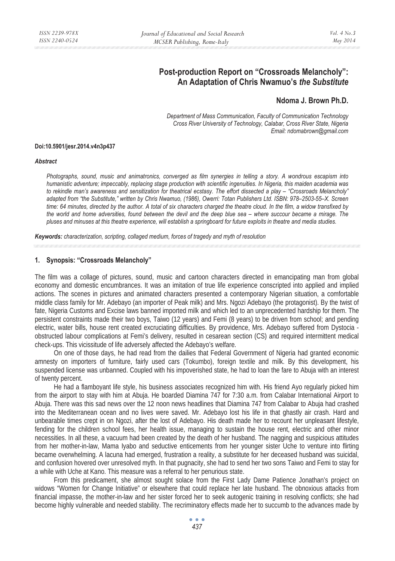# **Post-production Report on "Crossroads Melancholy": An Adaptation of Chris Nwamuo's** *the Substitute*

# **Ndoma J. Brown Ph.D.**

*Department of Mass Communication, Faculty of Communication Technology Cross River University of Technology, Calabar, Cross River State, Nigeria Email: ndomabrown@gmail.com* 

#### **Doi:10.5901/jesr.2014.v4n3p437**

#### *Abstract*

*Photographs, sound, music and animatronics, converged as film synergies in telling a story. A wondrous escapism into humanistic adventure; impeccably, replacing stage production with scientific ingenuities. In Nigeria, this maiden academia was to rekindle man's awareness and sensitization for theatrical ecstasy. The effort dissected a play – "Crossroads Melancholy" adapted from "the Substitute," written by Chris Nwamuo, (1986), Owerri: Totan Publishers Ltd. ISBN: 978–2503-55–X. Screen time: 64 minutes, directed by the author. A total of six characters charged the theatre cloud. In the film, a widow transfixed by the world and home adversities, found between the devil and the deep blue sea – where succour became a mirage. The pluses and minuses at this theatre experience, will establish a springboard for future exploits in theatre and media studies.* 

*Keywords: characterization, scripting, collaged medium, forces of tragedy and myth of resolution* 

#### **1. Synopsis: "Crossroads Melancholy"**

The film was a collage of pictures, sound, music and cartoon characters directed in emancipating man from global economy and domestic encumbrances. It was an imitation of true life experience conscripted into applied and implied actions. The scenes in pictures and animated characters presented a contemporary Nigerian situation, a comfortable middle class family for Mr. Adebayo (an importer of Peak milk) and Mrs. Ngozi Adebayo (the protagonist). By the twist of fate, Nigeria Customs and Excise laws banned imported milk and which led to an unprecedented hardship for them. The persistent constraints made their two boys, Taiwo (12 years) and Femi (8 years) to be driven from school; and pending electric, water bills, house rent created excruciating difficulties. By providence, Mrs. Adebayo suffered from Dystocia obstructed labour complications at Femi's delivery, resulted in cesarean section (CS) and required intermittent medical check-ups. This vicissitude of life adversely affected the Adebayo's welfare.

 On one of those days, he had read from the dailies that Federal Government of Nigeria had granted economic amnesty on importers of furniture, fairly used cars (Tokumbo), foreign textile and milk. By this development, his suspended license was unbanned. Coupled with his impoverished state, he had to loan the fare to Abuja with an interest of twenty percent.

 He had a flamboyant life style, his business associates recognized him with. His friend Ayo regularly picked him from the airport to stay with him at Abuja. He boarded Diamina 747 for 7:30 a.m. from Calabar International Airport to Abuja. There was this sad news over the 12 noon news headlines that Diamina 747 from Calabar to Abuja had crashed into the Mediterranean ocean and no lives were saved. Mr. Adebayo lost his life in that ghastly air crash. Hard and unbearable times crept in on Ngozi, after the lost of Adebayo. His death made her to recount her unpleasant lifestyle, fending for the children school fees, her health issue, managing to sustain the house rent, electric and other minor necessities. In all these, a vacuum had been created by the death of her husband. The nagging and suspicious attitudes from her mother-in-law, Mama Iyabo and seductive enticements from her younger sister Uche to venture into flirting became overwhelming. A lacuna had emerged, frustration a reality, a substitute for her deceased husband was suicidal, and confusion hovered over unresolved myth. In that pugnacity, she had to send her two sons Taiwo and Femi to stay for a while with Uche at Kano. This measure was a referral to her penurious state.

 From this predicament, she almost sought solace from the First Lady Dame Patience Jonathan's project on widows "Women for Change Initiative" or elsewhere that could replace her late husband. The obnoxious attacks from financial impasse, the mother-in-law and her sister forced her to seek autogenic training in resolving conflicts; she had become highly vulnerable and needed stability. The recriminatory effects made her to succumb to the advances made by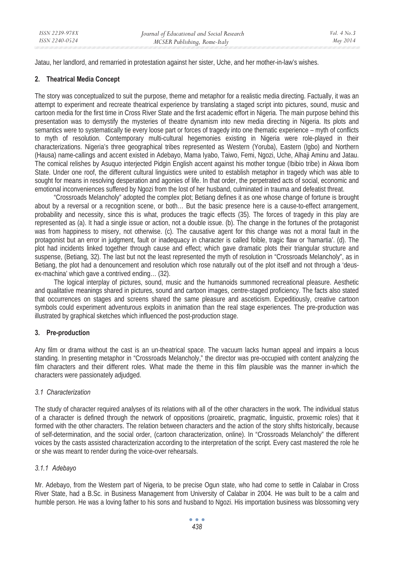Jatau, her landlord, and remarried in protestation against her sister, Uche, and her mother-in-law's wishes.

#### **2. Theatrical Media Concept**

The story was conceptualized to suit the purpose, theme and metaphor for a realistic media directing. Factually, it was an attempt to experiment and recreate theatrical experience by translating a staged script into pictures, sound, music and cartoon media for the first time in Cross River State and the first academic effort in Nigeria. The main purpose behind this presentation was to demystify the mysteries of theatre dynamism into new media directing in Nigeria. Its plots and semantics were to systematically tie every loose part or forces of tragedy into one thematic experience – myth of conflicts to myth of resolution. Contemporary multi-cultural hegemonies existing in Nigeria were role-played in their characterizations. Nigeria's three geographical tribes represented as Western (Yoruba), Eastern (Igbo) and Northern (Hausa) name-callings and accent existed in Adebayo, Mama Iyabo, Taiwo, Femi, Ngozi, Uche, Alhaji Aminu and Jatau. The comical relishes by Asuquo interjected Pidgin English accent against his mother tongue (Ibibio tribe) in Akwa Ibom State. Under one roof, the different cultural linguistics were united to establish metaphor in tragedy which was able to sought for means in resolving desperation and agonies of life. In that order, the perpetrated acts of social, economic and emotional inconveniences suffered by Ngozi from the lost of her husband, culminated in trauma and defeatist threat.

"Crossroads Melancholy" adopted the complex plot; Betiang defines it as one whose change of fortune is brought about by a reversal or a recognition scene, or both… But the basic presence here is a cause-to-effect arrangement, probability and necessity, since this is what, produces the tragic effects (35). The forces of tragedy in this play are represented as (a). It had a single issue or action, not a double issue. (b). The change in the fortunes of the protagonist was from happiness to misery, not otherwise. (c). The causative agent for this change was not a moral fault in the protagonist but an error in judgment, fault or inadequacy in character is called foible, tragic flaw or 'hamartia'. (d). The plot had incidents linked together through cause and effect; which gave dramatic plots their triangular structure and suspense, (Betiang, 32). The last but not the least represented the myth of resolution in "Crossroads Melancholy", as in Betiang, the plot had a denouncement and resolution which rose naturally out of the plot itself and not through a 'deusex-machina' which gave a contrived ending… (32).

 The logical interplay of pictures, sound, music and the humanoids summoned recreational pleasure. Aesthetic and qualitative meanings shared in pictures, sound and cartoon images, centre-staged proficiency. The facts also stated that occurrences on stages and screens shared the same pleasure and asceticism. Expeditiously, creative cartoon symbols could experiment adventurous exploits in animation than the real stage experiences. The pre-production was illustrated by graphical sketches which influenced the post-production stage.

#### **3. Pre-production**

Any film or drama without the cast is an un-theatrical space. The vacuum lacks human appeal and impairs a locus standing. In presenting metaphor in "Crossroads Melancholy," the director was pre-occupied with content analyzing the film characters and their different roles. What made the theme in this film plausible was the manner in-which the characters were passionately adjudged.

#### *3.1 Characterization*

The study of character required analyses of its relations with all of the other characters in the work. The individual status of a character is defined through the network of oppositions (proairetic, pragmatic, linguistic, proxemic roles) that it formed with the other characters. The relation between characters and the action of the story shifts historically, because of self-determination, and the social order, (cartoon characterization, online). In "Crossroads Melancholy" the different voices by the casts assisted characterization according to the interpretation of the script. Every cast mastered the role he or she was meant to render during the voice-over rehearsals.

# *3.1.1 Adebayo*

Mr. Adebayo, from the Western part of Nigeria, to be precise Ogun state, who had come to settle in Calabar in Cross River State, had a B.Sc. in Business Management from University of Calabar in 2004. He was built to be a calm and humble person. He was a loving father to his sons and husband to Ngozi. His importation business was blossoming very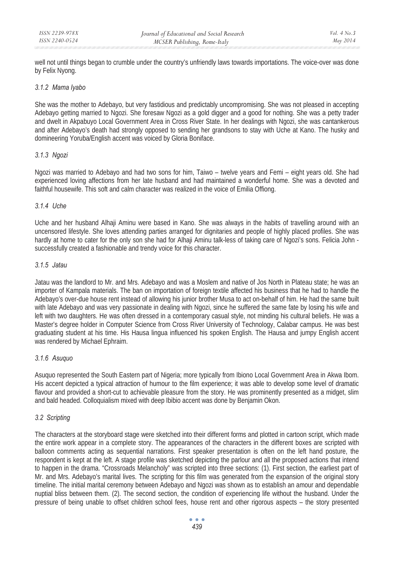well not until things began to crumble under the country's unfriendly laws towards importations. The voice-over was done by Felix Nyong.

#### *3.1.2 Mama Iyabo*

She was the mother to Adebayo, but very fastidious and predictably uncompromising. She was not pleased in accepting Adebayo getting married to Ngozi. She foresaw Ngozi as a gold digger and a good for nothing. She was a petty trader and dwelt in Akpabuyo Local Government Area in Cross River State. In her dealings with Ngozi, she was cantankerous and after Adebayo's death had strongly opposed to sending her grandsons to stay with Uche at Kano. The husky and domineering Yoruba/English accent was voiced by Gloria Boniface.

# *3.1.3 Ngozi*

Ngozi was married to Adebayo and had two sons for him, Taiwo – twelve years and Femi – eight years old. She had experienced loving affections from her late husband and had maintained a wonderful home. She was a devoted and faithful housewife. This soft and calm character was realized in the voice of Emilia Offiong.

# *3.1.4 Uche*

Uche and her husband Alhaji Aminu were based in Kano. She was always in the habits of travelling around with an uncensored lifestyle. She loves attending parties arranged for dignitaries and people of highly placed profiles. She was hardly at home to cater for the only son she had for Alhaji Aminu talk-less of taking care of Ngozi's sons. Felicia John successfully created a fashionable and trendy voice for this character.

# *3.1.5 Jatau*

Jatau was the landlord to Mr. and Mrs. Adebayo and was a Moslem and native of Jos North in Plateau state; he was an importer of Kampala materials. The ban on importation of foreign textile affected his business that he had to handle the Adebayo's over-due house rent instead of allowing his junior brother Musa to act on-behalf of him. He had the same built with late Adebayo and was very passionate in dealing with Ngozi, since he suffered the same fate by losing his wife and left with two daughters. He was often dressed in a contemporary casual style, not minding his cultural beliefs. He was a Master's degree holder in Computer Science from Cross River University of Technology, Calabar campus. He was best graduating student at his time. His Hausa lingua influenced his spoken English. The Hausa and jumpy English accent was rendered by Michael Ephraim.

# *3.1.6 Asuquo*

Asuquo represented the South Eastern part of Nigeria; more typically from Ibiono Local Government Area in Akwa Ibom. His accent depicted a typical attraction of humour to the film experience; it was able to develop some level of dramatic flavour and provided a short-cut to achievable pleasure from the story. He was prominently presented as a midget, slim and bald headed. Colloquialism mixed with deep Ibibio accent was done by Benjamin Okon.

# *3.2 Scripting*

The characters at the storyboard stage were sketched into their different forms and plotted in cartoon script, which made the entire work appear in a complete story. The appearances of the characters in the different boxes are scripted with balloon comments acting as sequential narrations. First speaker presentation is often on the left hand posture, the respondent is kept at the left. A stage profile was sketched depicting the parlour and all the proposed actions that intend to happen in the drama. "Crossroads Melancholy" was scripted into three sections: (1). First section, the earliest part of Mr. and Mrs. Adebayo's marital lives. The scripting for this film was generated from the expansion of the original story timeline. The initial marital ceremony between Adebayo and Ngozi was shown as to establish an amour and dependable nuptial bliss between them. (2). The second section, the condition of experiencing life without the husband. Under the pressure of being unable to offset children school fees, house rent and other rigorous aspects – the story presented

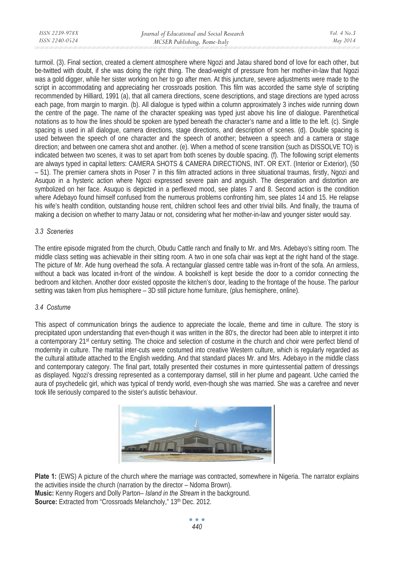| ISSN 2239-978X | Journal of Educational and Social Research | Vol. $4$ No. $3$ |
|----------------|--------------------------------------------|------------------|
| ISSN 2240-0524 | MCSER Publishing, Rome-Italy               | May 2014         |
|                |                                            |                  |

turmoil. (3). Final section, created a clement atmosphere where Ngozi and Jatau shared bond of love for each other, but be-twitted with doubt, if she was doing the right thing. The dead-weight of pressure from her mother-in-law that Ngozi was a gold digger, while her sister working on her to go after men. At this juncture, severe adjustments were made to the script in accommodating and appreciating her crossroads position. This film was accorded the same style of scripting recommended by Hilliard, 1991 (a), that all camera directions, scene descriptions, and stage directions are typed across each page, from margin to margin. (b). All dialogue is typed within a column approximately 3 inches wide running down the centre of the page. The name of the character speaking was typed just above his line of dialogue. Parenthetical notations as to how the lines should be spoken are typed beneath the character's name and a little to the left. (c). Single spacing is used in all dialogue, camera directions, stage directions, and description of scenes. (d). Double spacing is used between the speech of one character and the speech of another; between a speech and a camera or stage direction; and between one camera shot and another. (e). When a method of scene transition (such as DISSOLVE TO) is indicated between two scenes, it was to set apart from both scenes by double spacing. (f). The following script elements are always typed in capital letters: CAMERA SHOTS & CAMERA DIRECTIONS, INT. OR EXT. (Interior or Exterior), (50 – 51). The premier camera shots in Poser 7 in this film attracted actions in three situational traumas, firstly, Ngozi and Asuquo in a hysteric action where Ngozi expressed severe pain and anguish. The desperation and distortion are symbolized on her face. Asuquo is depicted in a perflexed mood, see plates 7 and 8. Second action is the condition where Adebayo found himself confused from the numerous problems confronting him, see plates 14 and 15. He relapse his wife's health condition, outstanding house rent, children school fees and other trivial bills. And finally, the trauma of making a decision on whether to marry Jatau or not, considering what her mother-in-law and younger sister would say.

# *3.3 Sceneries*

The entire episode migrated from the church, Obudu Cattle ranch and finally to Mr. and Mrs. Adebayo's sitting room. The middle class setting was achievable in their sitting room. A two in one sofa chair was kept at the right hand of the stage. The picture of Mr. Ade hung overhead the sofa. A rectangular glassed centre table was in-front of the sofa. An armless, without a back was located in-front of the window. A bookshelf is kept beside the door to a corridor connecting the bedroom and kitchen. Another door existed opposite the kitchen's door, leading to the frontage of the house. The parlour setting was taken from plus hemisphere – 3D still picture home furniture, (plus hemisphere, online).

#### *3.4 Costume*

This aspect of communication brings the audience to appreciate the locale, theme and time in culture. The story is precipitated upon understanding that even-though it was written in the 80's, the director had been able to interpret it into a contemporary 21st century setting. The choice and selection of costume in the church and choir were perfect blend of modernity in culture. The marital inter-cuts were costumed into creative Western culture, which is regularly regarded as the cultural attitude attached to the English wedding. And that standard places Mr. and Mrs. Adebayo in the middle class and contemporary category. The final part, totally presented their costumes in more quintessential pattern of dressings as displayed. Ngozi's dressing represented as a contemporary damsel, still in her plume and pageant. Uche carried the aura of psychedelic girl, which was typical of trendy world, even-though she was married. She was a carefree and never took life seriously compared to the sister's autistic behaviour.



**Plate 1:** (EWS) A picture of the church where the marriage was contracted, somewhere in Nigeria. The narrator explains the activities inside the church (narration by the director – Ndoma Brown). **Music:** Kenny Rogers and Dolly Parton– *Island in the Stream* in the background. **Source:** Extracted from "Crossroads Melancholy," 13th Dec. 2012.

> $\sim$   $\sim$   $\sim$ *440*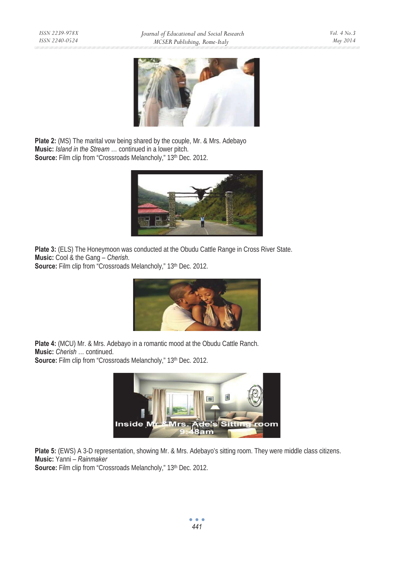

**Plate 2:** (MS) The marital vow being shared by the couple, Mr. & Mrs. Adebayo **Music:** *Island in the Stream* … continued in a lower pitch. **Source:** Film clip from "Crossroads Melancholy," 13<sup>th</sup> Dec. 2012.



Plate 3: (ELS) The Honeymoon was conducted at the Obudu Cattle Range in Cross River State. **Music:** Cool & the Gang – *Cherish*.

**Source:** Film clip from "Crossroads Melancholy," 13<sup>th</sup> Dec. 2012.



**Plate 4:** (MCU) Mr. & Mrs. Adebayo in a romantic mood at the Obudu Cattle Ranch. **Music:** *Cherish* … continued. Source: Film clip from "Crossroads Melancholy," 13<sup>th</sup> Dec. 2012.



**Plate 5:** (EWS) A 3-D representation, showing Mr. & Mrs. Adebayo's sitting room. They were middle class citizens. **Music:** Yanni – *Rainmaker*

Source: Film clip from "Crossroads Melancholy," 13<sup>th</sup> Dec. 2012.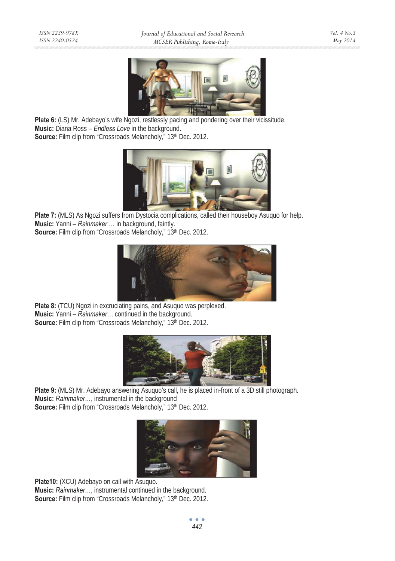

**Plate 6:** (LS) Mr. Adebayo's wife Ngozi, restlessly pacing and pondering over their vicissitude. **Music:** Diana Ross – *Endless Love* in the background. Source: Film clip from "Crossroads Melancholy," 13<sup>th</sup> Dec. 2012.



Plate 7: (MLS) As Ngozi suffers from Dystocia complications, called their houseboy Asuquo for help. **Music:** Yanni – *Rainmaker* … in background, faintly. **Source:** Film clip from "Crossroads Melancholy," 13<sup>th</sup> Dec. 2012.



**Plate 8:** (TCU) Ngozi in excruciating pains, and Asuguo was perplexed. **Music:** Yanni – *Rainmaker…* continued in the background. Source: Film clip from "Crossroads Melancholy," 13<sup>th</sup> Dec. 2012.



Plate 9: (MLS) Mr. Adebayo answering Asuquo's call, he is placed in-front of a 3D still photograph. **Music:** *Rainmaker*…, instrumental in the background **Source:** Film clip from "Crossroads Melancholy," 13<sup>th</sup> Dec. 2012.



**Plate10:** (XCU) Adebayo on call with Asuquo. **Music:** *Rainmaker*…, instrumental continued in the background. Source: Film clip from "Crossroads Melancholy," 13<sup>th</sup> Dec. 2012.

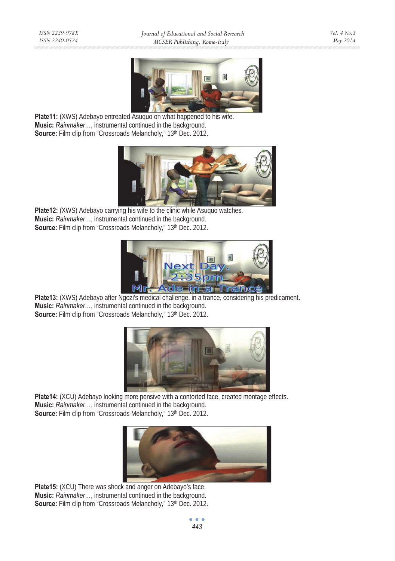

Plate11: (XWS) Adebayo entreated Asuquo on what happened to his wife. **Music:** *Rainmaker*…, instrumental continued in the background. **Source:** Film clip from "Crossroads Melancholy," 13<sup>th</sup> Dec. 2012.



**Plate12:** (XWS) Adebayo carrying his wife to the clinic while Asuquo watches. **Music:** *Rainmaker*…, instrumental continued in the background. **Source:** Film clip from "Crossroads Melancholy," 13<sup>th</sup> Dec. 2012.



Plate13: (XWS) Adebayo after Ngozi's medical challenge, in a trance, considering his predicament. **Music:** *Rainmaker*…, instrumental continued in the background. **Source:** Film clip from "Crossroads Melancholy," 13<sup>th</sup> Dec. 2012.



Plate14: (XCU) Adebayo looking more pensive with a contorted face, created montage effects. **Music:** *Rainmaker*…, instrumental continued in the background. Source: Film clip from "Crossroads Melancholy," 13<sup>th</sup> Dec. 2012.



**Plate15:** (XCU) There was shock and anger on Adebayo's face. **Music:** *Rainmaker*…, instrumental continued in the background. **Source:** Film clip from "Crossroads Melancholy," 13<sup>th</sup> Dec. 2012.

 $\bullet$   $\bullet$   $\bullet$ *443*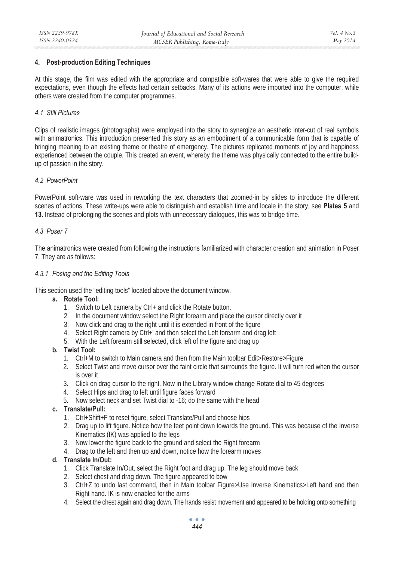# **4. Post-production Editing Techniques**

At this stage, the film was edited with the appropriate and compatible soft-wares that were able to give the required expectations, even though the effects had certain setbacks. Many of its actions were imported into the computer, while others were created from the computer programmes.

#### *4.1 Still Pictures*

Clips of realistic images (photographs) were employed into the story to synergize an aesthetic inter-cut of real symbols with animatronics. This introduction presented this story as an embodiment of a communicable form that is capable of bringing meaning to an existing theme or theatre of emergency. The pictures replicated moments of joy and happiness experienced between the couple. This created an event, whereby the theme was physically connected to the entire buildup of passion in the story.

# *4.2 PowerPoint*

PowerPoint soft-ware was used in reworking the text characters that zoomed-in by slides to introduce the different scenes of actions. These write-ups were able to distinguish and establish time and locale in the story, see **Plates 5** and **13**. Instead of prolonging the scenes and plots with unnecessary dialogues, this was to bridge time.

# *4.3 Poser 7*

The animatronics were created from following the instructions familiarized with character creation and animation in Poser 7. They are as follows:

# *4.3.1 Posing and the Editing Tools*

This section used the "editing tools" located above the document window.

# **a. Rotate Tool:**

- 1. Switch to Left camera by Ctrl+ and click the Rotate button.
- 2. In the document window select the Right forearm and place the cursor directly over it
- 3. Now click and drag to the right until it is extended in front of the figure
- 4. Select Right camera by Ctrl+' and then select the Left forearm and drag left
- 5. With the Left forearm still selected, click left of the figure and drag up

#### **b. Twist Tool:**

- 1. Ctrl+M to switch to Main camera and then from the Main toolbar Edit>Restore>Figure
- 2. Select Twist and move cursor over the faint circle that surrounds the figure. It will turn red when the cursor is over it
- 3. Click on drag cursor to the right. Now in the Library window change Rotate dial to 45 degrees
- 4. Select Hips and drag to left until figure faces forward
- 5. Now select neck and set Twist dial to -16; do the same with the head

#### **c. Translate/Pull:**

- 1. Ctrl+Shift+F to reset figure, select Translate/Pull and choose hips
- 2. Drag up to lift figure. Notice how the feet point down towards the ground. This was because of the Inverse Kinematics (IK) was applied to the legs
- 3. Now lower the figure back to the ground and select the Right forearm
- 4. Drag to the left and then up and down, notice how the forearm moves

#### **d. Translate In/Out:**

- 1. Click Translate In/Out, select the Right foot and drag up. The leg should move back
- 2. Select chest and drag down. The figure appeared to bow
- 3. Ctrl+Z to undo last command, then in Main toolbar Figure>Use Inverse Kinematics>Left hand and then Right hand. IK is now enabled for the arms
- 4. Select the chest again and drag down. The hands resist movement and appeared to be holding onto something

 $\bullet$   $\bullet$   $\bullet$ *444*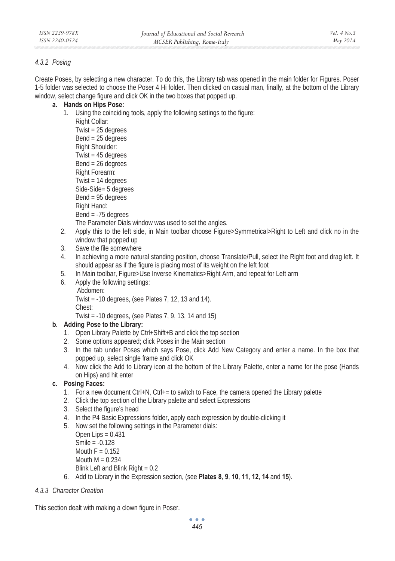# *4.3.2 Posing*

Create Poses, by selecting a new character. To do this, the Library tab was opened in the main folder for Figures. Poser 1-5 folder was selected to choose the Poser 4 Hi folder. Then clicked on casual man, finally, at the bottom of the Library window, select change figure and click OK in the two boxes that popped up.

- **a. Hands on Hips Pose:**
	- 1. Using the coinciding tools, apply the following settings to the figure:

Right Collar:

Twist = 25 degrees Bend = 25 degrees Right Shoulder: Twist = 45 degrees Bend = 26 degrees Right Forearm: Twist = 14 degrees Side-Side= 5 degrees Bend = 95 degrees Right Hand: Bend = -75 degrees The Parameter Dials window was used to set the angles.

2. Apply this to the left side, in Main toolbar choose Figure>Symmetrical>Right to Left and click no in the window that popped up

- 3. Save the file somewhere
- 4. In achieving a more natural standing position, choose Translate/Pull, select the Right foot and drag left. It should appear as if the figure is placing most of its weight on the left foot
- 5. In Main toolbar, Figure>Use Inverse Kinematics>Right Arm, and repeat for Left arm
- 6. Apply the following settings:
	- Abdomen:

Twist = -10 degrees, (see Plates 7, 12, 13 and 14).

Chest:

Twist = -10 degrees, (see Plates 7, 9, 13, 14 and 15)

# **b. Adding Pose to the Library:**

- 1. Open Library Palette by Ctrl+Shift+B and click the top section
- 2. Some options appeared; click Poses in the Main section
- 3. In the tab under Poses which says Pose, click Add New Category and enter a name. In the box that popped up, select single frame and click OK
- 4. Now click the Add to Library icon at the bottom of the Library Palette, enter a name for the pose (Hands on Hips) and hit enter

# **c. Posing Faces:**

- 1. For a new document Ctrl+N, Ctrl+= to switch to Face, the camera opened the Library palette
- 2. Click the top section of the Library palette and select Expressions
- 3. Select the figure's head
- 4. In the P4 Basic Expressions folder, apply each expression by double-clicking it
- 5. Now set the following settings in the Parameter dials:

Open Lips  $= 0.431$ Smile = -0.128 Mouth  $F = 0.152$ Mouth  $M = 0.234$ Blink Left and Blink Right = 0.2

6. Add to Library in the Expression section, (see **Plates 8**, **9**, **10**, **11**, **12**, **14** and **15**).

# *4.3.3 Character Creation*

This section dealt with making a clown figure in Poser.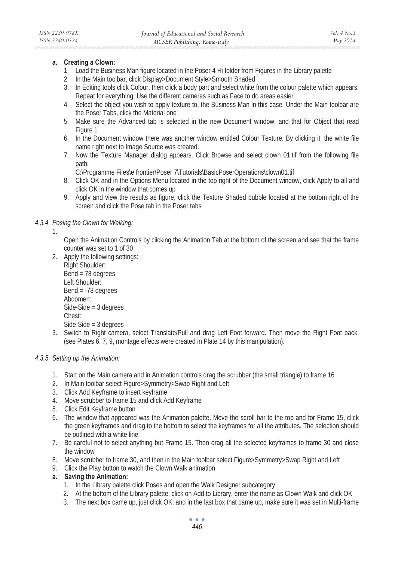#### **a. Creating a Clown:**

- 1. Load the Business Man figure located in the Poser 4 Hi folder from Figures in the Library palette
- 2. In the Main toolbar, click Display>Document Style>Smooth Shaded
- 3. In Editing tools click Colour, then click a body part and select white from the colour palette which appears. Repeat for everything. Use the different cameras such as Face to do areas easier
- 4. Select the object you wish to apply texture to, the Business Man in this case. Under the Main toolbar are the Poser Tabs, click the Material one
- 5. Make sure the Advanced tab is selected in the new Document window, and that for Object that read Figure 1
- 6. In the Document window there was another window entitled Colour Texture. By clicking it, the white file name right next to Image Source was created.
- 7. Now the Texture Manager dialog appears. Click Browse and select clown 01.tif from the following file path:

C:\Programme Files\e frontier\Poser 7\Tutorials\BasicPoserOperations\clown01.tif

- 8. Click OK and in the Options Menu located in the top right of the Document window, click Apply to all and click OK in the window that comes up
- 9. Apply and view the results as figure, click the Texture Shaded bubble located at the bottom right of the screen and click the Pose tab in the Poser tabs

# *4.3.4 Posing the Clown for Walking:*

1.

Open the Animation Controls by clicking the Animation Tab at the bottom of the screen and see that the frame counter was set to 1 of 30

- 2. Apply the following settings:
	- Right Shoulder: Bend = 78 degrees Left Shoulder: Bend = -78 degrees Abdomen: Side-Side = 3 degrees Chest: Side-Side = 3 degrees
- 3. Switch to Right camera, select Translate/Pull and drag Left Foot forward. Then move the Right Foot back, (see Plates 6, 7, 9, montage effects were created in Plate 14 by this manipulation).

# *4.3.5 Setting up the Animation:*

- 1. Start on the Main camera and in Animation controls drag the scrubber (the small triangle) to frame 16
- 2. In Main toolbar select Figure>Symmetry>Swap Right and Left
- 3. Click Add Keyframe to insert keyframe
- 4. Move scrubber to frame 15 and click Add Keyframe
- 5. Click Edit Keyframe button
- 6. The window that appeared was the Animation palette. Move the scroll bar to the top and for Frame 15, click the green keyframes and drag to the bottom to select the keyframes for all the attributes. The selection should be outlined with a white line
- 7. Be careful not to select anything but Frame 15. Then drag all the selected keyframes to frame 30 and close the window
- 8. Move scrubber to frame 30, and then in the Main toolbar select Figure>Symmetry>Swap Right and Left
- 9. Click the Play button to watch the Clown Walk animation

# **a. Saving the Animation:**

- 1. In the Library palette click Poses and open the Walk Designer subcategory
- 2. At the bottom of the Library palette, click on Add to Library, enter the name as Clown Walk and click OK
- 3. The next box came up, just click OK; and in the last box that came up, make sure it was set in Multi-frame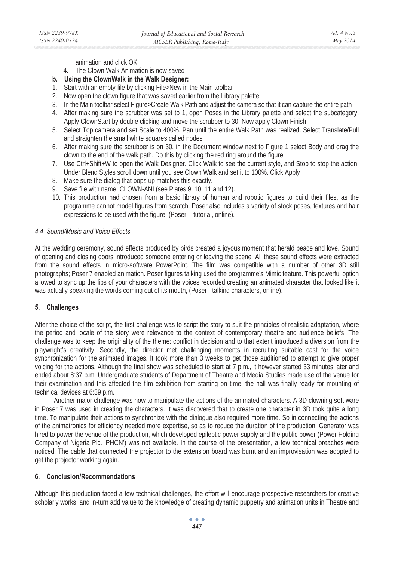animation and click OK

- 4. The Clown Walk Animation is now saved
- **b. Using the ClownWalk in the Walk Designer:**
- 1. Start with an empty file by clicking File>New in the Main toolbar
- 2. Now open the clown figure that was saved earlier from the Library palette
- 3. In the Main toolbar select Figure>Create Walk Path and adjust the camera so that it can capture the entire path
- 4. After making sure the scrubber was set to 1, open Poses in the Library palette and select the subcategory. Apply ClownStart by double clicking and move the scrubber to 30. Now apply Clown Finish
- 5. Select Top camera and set Scale to 400%. Pan until the entire Walk Path was realized. Select Translate/Pull and straighten the small white squares called nodes
- 6. After making sure the scrubber is on 30, in the Document window next to Figure 1 select Body and drag the clown to the end of the walk path. Do this by clicking the red ring around the figure
- 7. Use Ctrl+Shift+W to open the Walk Designer. Click Walk to see the current style, and Stop to stop the action. Under Blend Styles scroll down until you see Clown Walk and set it to 100%. Click Apply
- 8. Make sure the dialog that pops up matches this exactly.
- 9. Save file with name: CLOWN-ANI (see Plates 9, 10, 11 and 12).
- 10. This production had chosen from a basic library of human and robotic figures to build their files, as the programme cannot model figures from scratch. Poser also includes a variety of stock poses, textures and hair expressions to be used with the figure, (Poser - tutorial, online).

#### *4.4 Sound/Music and Voice Effects*

At the wedding ceremony, sound effects produced by birds created a joyous moment that herald peace and love. Sound of opening and closing doors introduced someone entering or leaving the scene. All these sound effects were extracted from the sound effects in micro-software PowerPoint. The film was compatible with a number of other 3D still photographs; Poser 7 enabled animation. Poser figures talking used the programme's Mimic feature. This powerful option allowed to sync up the lips of your characters with the voices recorded creating an animated character that looked like it was actually speaking the words coming out of its mouth, (Poser - talking characters, online).

#### **5. Challenges**

After the choice of the script, the first challenge was to script the story to suit the principles of realistic adaptation, where the period and locale of the story were relevance to the context of contemporary theatre and audience beliefs. The challenge was to keep the originality of the theme: conflict in decision and to that extent introduced a diversion from the playwright's creativity. Secondly, the director met challenging moments in recruiting suitable cast for the voice synchronization for the animated images. It took more than 3 weeks to get those auditioned to attempt to give proper voicing for the actions. Although the final show was scheduled to start at 7 p.m., it however started 33 minutes later and ended about 8:37 p.m. Undergraduate students of Department of Theatre and Media Studies made use of the venue for their examination and this affected the film exhibition from starting on time, the hall was finally ready for mounting of technical devices at 6:39 p.m.

 Another major challenge was how to manipulate the actions of the animated characters. A 3D clowning soft-ware in Poser 7 was used in creating the characters. It was discovered that to create one character in 3D took quite a long time. To manipulate their actions to synchronize with the dialogue also required more time. So in connecting the actions of the animatronics for efficiency needed more expertise, so as to reduce the duration of the production. Generator was hired to power the venue of the production, which developed epileptic power supply and the public power (Power Holding Company of Nigeria Plc. 'PHCN') was not available. In the course of the presentation, a few technical breaches were noticed. The cable that connected the projector to the extension board was burnt and an improvisation was adopted to get the projector working again.

#### **6. Conclusion/Recommendations**

Although this production faced a few technical challenges, the effort will encourage prospective researchers for creative scholarly works, and in-turn add value to the knowledge of creating dynamic puppetry and animation units in Theatre and